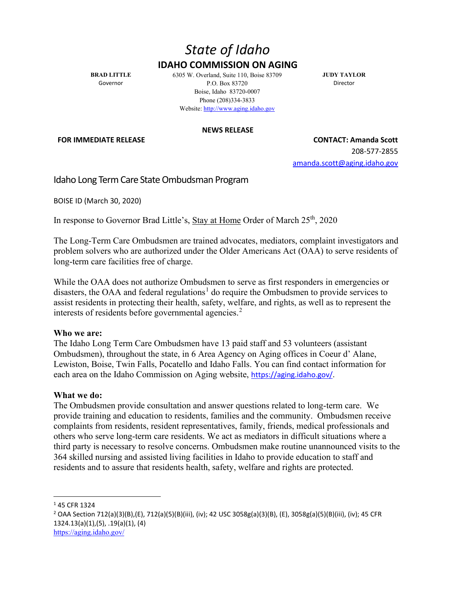## *State of Idaho* **IDAHO COMMISSION ON AGING**

**BRAD LITTLE** Governor

6305 W. Overland, Suite 110, Boise 83709 P.O. Box 83720 Boise, Idaho 83720-0007 Phone (208)334-3833 Website[: http://www.aging.idaho.gov](http://www.aging.idaho.gov/)

**JUDY TAYLOR** Director

**NEWS RELEASE**

**FOR IMMEDIATE RELEASE CONTACT: Amanda Scott** 208-577-2855 [amanda.scott@aging.idaho.gov](mailto:amanda.scott@aging.idaho.gov)

Idaho Long Term Care State Ombudsman Program

BOISE ID (March 30, 2020)

In response to Governor Brad Little's, Stay at Home Order of March 25<sup>th</sup>, 2020

The Long-Term Care Ombudsmen are trained advocates, mediators, complaint investigators and problem solvers who are authorized under the Older Americans Act (OAA) to serve residents of long-term care facilities free of charge.

While the OAA does not authorize Ombudsmen to serve as first responders in emergencies or disasters, the OAA and federal regulations<sup>[1](#page-0-0)</sup> do require the Ombudsmen to provide services to assist residents in protecting their health, safety, welfare, and rights, as well as to represent the interests of residents before governmental agencies.<sup>[2](#page-0-1)</sup>

## **Who we are:**

The Idaho Long Term Care Ombudsmen have 13 paid staff and 53 volunteers (assistant Ombudsmen), throughout the state, in 6 Area Agency on Aging offices in Coeur d' Alane, Lewiston, Boise, Twin Falls, Pocatello and Idaho Falls. You can find contact information for each area on the Idaho Commission on Aging website, [https://aging.idaho.gov/.](https://aging.idaho.gov/)

## **What we do:**

The Ombudsmen provide consultation and answer questions related to long-term care. We provide training and education to residents, families and the community. Ombudsmen receive complaints from residents, resident representatives, family, friends, medical professionals and others who serve long-term care residents. We act as mediators in difficult situations where a third party is necessary to resolve concerns. Ombudsmen make routine unannounced visits to the 364 skilled nursing and assisted living facilities in Idaho to provide education to staff and residents and to assure that residents health, safety, welfare and rights are protected.

<span id="page-0-0"></span><sup>1</sup> 45 CFR 1324

<span id="page-0-1"></span><sup>2</sup> OAA Section 712(a)(3)(B),(E), 712(a)(5)(B)(iii), (iv); 42 USC 3058g(a)(3)(B), (E), 3058g(a)(5)(B)(iii), (iv); 45 CFR 1324.13(a)(1),(5), .19(a)(1), (4) <https://aging.idaho.gov/>